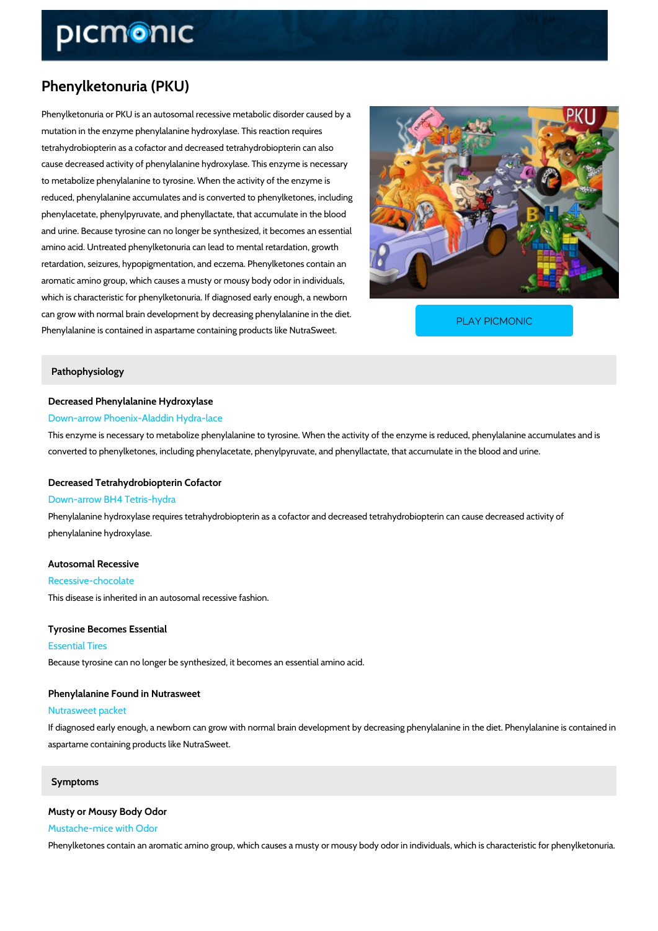# Phenylketonuria (PKU)

Phenylketonuria or PKU is an autosomal recessive metabolic disorder caused by a mutation in the enzyme phenylalanine hydroxylase. This reaction requires tetrahydrobiopterin as a cofactor and decreased tetrahydrobiopterin can also cause decreased activity of phenylalanine hydroxylase. This enzyme is necessary to metabolize phenylalanine to tyrosine. When the activity of the enzyme is reduced, phenylalanine accumulates and is converted to phenylketones, including phenylacetate, phenylpyruvate, and phenyllactate, that accumulate in the blood and urine. Because tyrosine can no longer be synthesized, it becomes an essential amino acid. Untreated phenylketonuria can lead to mental retardation, growth retardation, seizures, hypopigmentation, and eczema. Phenylketones contain an aromatic amino group, which causes a musty or mousy body odor in individuals, which is characteristic for phenylketonuria. If diagnosed early enough, a newborn can grow with normal brain development by decreasing ph Phenylalanine is contained in aspartame containing produ PLAY PICMONIC

#### Pathophysiology

Decreased Phenylalanine Hydroxylase Down-arrow Phoenix-Aladdin Hydra-lace

This enzyme is necessary to metabolize phenylalanine to tyrosine. When the activity of the en converted to phenylketones, including phenylacetate, phenylpyruvate, and phenyllactate, that

#### Decreased Tetrahydrobiopterin Cofactor

#### Down-arrow BH4 Tetris-hydra

Phenylalanine hydroxylase requires tetrahydrobiopterin as a cofactor and decreased tetrahydr phenylalanine hydroxylase.

Autosomal Recessive Recessive-chocolate This disease is inherited in an autosomal recessive fashion.

Tyrosine Becomes Essential Essential Tires Because tyrosine can no longer be synthesized, it becomes an essential amino acid.

Phenylalanine Found in Nutrasweet Nutrasweet packet If diagnosed early enough, a newborn can grow with normal brain development by decreasing phenylalanine in the diet. Phenylalanine in the diet. Phenylalanine in the diet. Phenylalanine in the diet. Phenylalanine in the die aspartame containing products like NutraSweet.

#### Symptoms

Musty or Mousy Body Odor Mustache-mice with Odor Phenylketones contain an aromatic amino group, which causes a musty or mousy body odor in